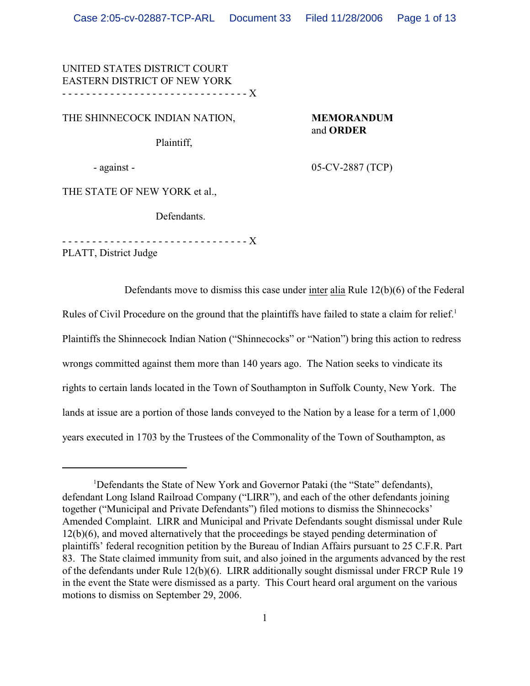## UNITED STATES DISTRICT COURT EASTERN DISTRICT OF NEW YORK - - - - - - - - - - - - - - - - - - - - - - - - - - - - - - - X

THE SHINNECOCK INDIAN NATION, **MEMORANDUM**

# and **ORDER**

Plaintiff,

- against - 05-CV-2887 (TCP)

THE STATE OF NEW YORK et al.,

Defendants.

- - - - - - - - - - - - - - - - - - - - - - - - - - - - - - - X

PLATT, District Judge

Defendants move to dismiss this case under inter alia Rule 12(b)(6) of the Federal Rules of Civil Procedure on the ground that the plaintiffs have failed to state a claim for relief.<sup>1</sup> Plaintiffs the Shinnecock Indian Nation ("Shinnecocks" or "Nation") bring this action to redress wrongs committed against them more than 140 years ago. The Nation seeks to vindicate its rights to certain lands located in the Town of Southampton in Suffolk County, New York. The lands at issue are a portion of those lands conveyed to the Nation by a lease for a term of 1,000 years executed in 1703 by the Trustees of the Commonality of the Town of Southampton, as

<sup>&</sup>lt;sup>1</sup>Defendants the State of New York and Governor Pataki (the "State" defendants), defendant Long Island Railroad Company ("LIRR"), and each of the other defendants joining together ("Municipal and Private Defendants") filed motions to dismiss the Shinnecocks' Amended Complaint. LIRR and Municipal and Private Defendants sought dismissal under Rule 12(b)(6), and moved alternatively that the proceedings be stayed pending determination of plaintiffs' federal recognition petition by the Bureau of Indian Affairs pursuant to 25 C.F.R. Part 83. The State claimed immunity from suit, and also joined in the arguments advanced by the rest of the defendants under Rule 12(b)(6). LIRR additionally sought dismissal under FRCP Rule 19 in the event the State were dismissed as a party. This Court heard oral argument on the various motions to dismiss on September 29, 2006.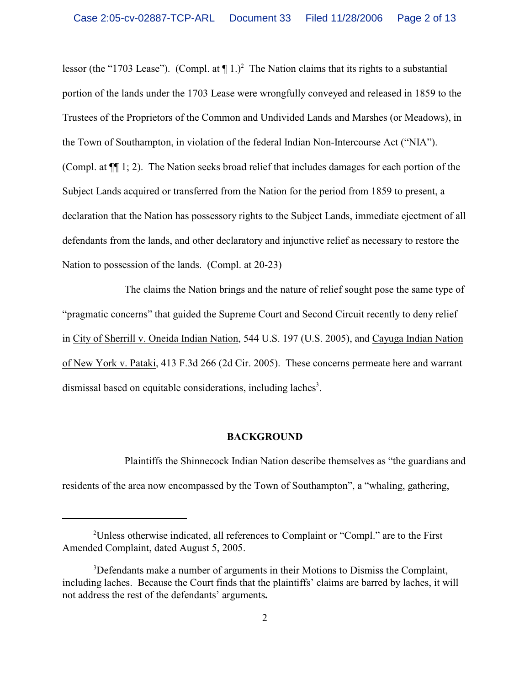lessor (the "1703 Lease"). (Compl. at  $\P$  1.)<sup>2</sup> The Nation claims that its rights to a substantial portion of the lands under the 1703 Lease were wrongfully conveyed and released in 1859 to the Trustees of the Proprietors of the Common and Undivided Lands and Marshes (or Meadows), in the Town of Southampton, in violation of the federal Indian Non-Intercourse Act ("NIA"). (Compl. at ¶¶ 1; 2). The Nation seeks broad relief that includes damages for each portion of the Subject Lands acquired or transferred from the Nation for the period from 1859 to present, a declaration that the Nation has possessory rights to the Subject Lands, immediate ejectment of all defendants from the lands, and other declaratory and injunctive relief as necessary to restore the Nation to possession of the lands. (Compl. at 20-23)

The claims the Nation brings and the nature of relief sought pose the same type of "pragmatic concerns" that guided the Supreme Court and Second Circuit recently to deny relief in City of Sherrill v. Oneida Indian Nation, 544 U.S. 197 (U.S. 2005), and Cayuga Indian Nation of New York v. Pataki, 413 F.3d 266 (2d Cir. 2005). These concerns permeate here and warrant dismissal based on equitable considerations, including laches<sup>3</sup>.

#### **BACKGROUND**

Plaintiffs the Shinnecock Indian Nation describe themselves as "the guardians and residents of the area now encompassed by the Town of Southampton", a "whaling, gathering,

<sup>&</sup>lt;sup>2</sup>Unless otherwise indicated, all references to Complaint or "Compl." are to the First Amended Complaint, dated August 5, 2005.

<sup>&</sup>lt;sup>3</sup>Defendants make a number of arguments in their Motions to Dismiss the Complaint, including laches. Because the Court finds that the plaintiffs' claims are barred by laches, it will not address the rest of the defendants' arguments**.**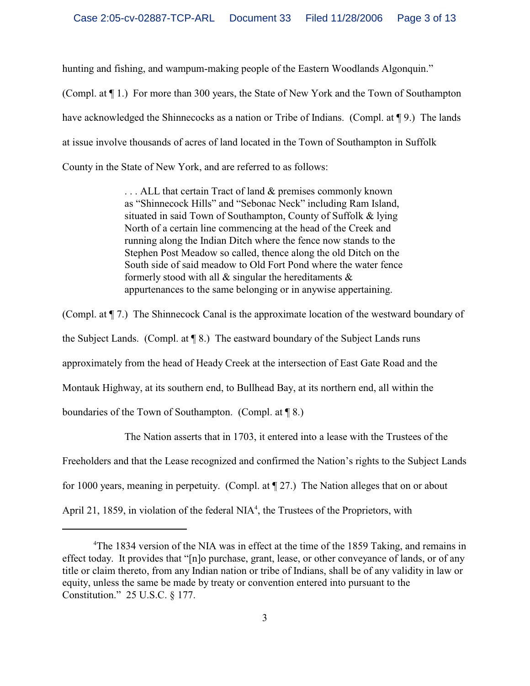hunting and fishing, and wampum-making people of the Eastern Woodlands Algonquin."

(Compl. at ¶ 1.) For more than 300 years, the State of New York and the Town of Southampton have acknowledged the Shinnecocks as a nation or Tribe of Indians. (Compl. at  $\P$  9.) The lands at issue involve thousands of acres of land located in the Town of Southampton in Suffolk County in the State of New York, and are referred to as follows:

> ... ALL that certain Tract of land & premises commonly known as "Shinnecock Hills" and "Sebonac Neck" including Ram Island, situated in said Town of Southampton, County of Suffolk & lying North of a certain line commencing at the head of the Creek and running along the Indian Ditch where the fence now stands to the Stephen Post Meadow so called, thence along the old Ditch on the South side of said meadow to Old Fort Pond where the water fence formerly stood with all  $\&$  singular the hereditaments  $\&$ appurtenances to the same belonging or in anywise appertaining.

(Compl. at ¶ 7.) The Shinnecock Canal is the approximate location of the westward boundary of the Subject Lands. (Compl. at ¶ 8.) The eastward boundary of the Subject Lands runs approximately from the head of Heady Creek at the intersection of East Gate Road and the Montauk Highway, at its southern end, to Bullhead Bay, at its northern end, all within the boundaries of the Town of Southampton. (Compl. at ¶ 8.)

The Nation asserts that in 1703, it entered into a lease with the Trustees of the Freeholders and that the Lease recognized and confirmed the Nation's rights to the Subject Lands for 1000 years, meaning in perpetuity. (Compl. at ¶ 27.) The Nation alleges that on or about April 21, 1859, in violation of the federal  $NIA<sup>4</sup>$ , the Trustees of the Proprietors, with

<sup>&</sup>lt;sup>4</sup>The 1834 version of the NIA was in effect at the time of the 1859 Taking, and remains in effect today. It provides that "[n]o purchase, grant, lease, or other conveyance of lands, or of any title or claim thereto, from any Indian nation or tribe of Indians, shall be of any validity in law or equity, unless the same be made by treaty or convention entered into pursuant to the Constitution." 25 U.S.C. § 177.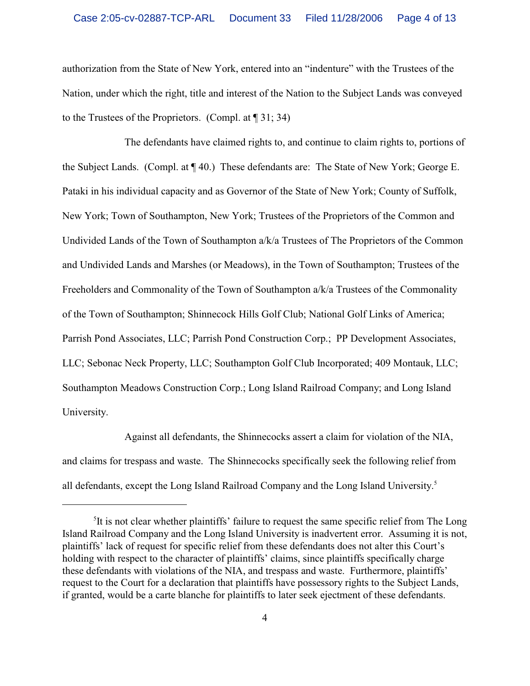authorization from the State of New York, entered into an "indenture" with the Trustees of the Nation, under which the right, title and interest of the Nation to the Subject Lands was conveyed to the Trustees of the Proprietors. (Compl. at ¶ 31; 34)

The defendants have claimed rights to, and continue to claim rights to, portions of the Subject Lands. (Compl. at ¶ 40.) These defendants are: The State of New York; George E. Pataki in his individual capacity and as Governor of the State of New York; County of Suffolk, New York; Town of Southampton, New York; Trustees of the Proprietors of the Common and Undivided Lands of the Town of Southampton a/k/a Trustees of The Proprietors of the Common and Undivided Lands and Marshes (or Meadows), in the Town of Southampton; Trustees of the Freeholders and Commonality of the Town of Southampton a/k/a Trustees of the Commonality of the Town of Southampton; Shinnecock Hills Golf Club; National Golf Links of America; Parrish Pond Associates, LLC; Parrish Pond Construction Corp.; PP Development Associates, LLC; Sebonac Neck Property, LLC; Southampton Golf Club Incorporated; 409 Montauk, LLC; Southampton Meadows Construction Corp.; Long Island Railroad Company; and Long Island University.

Against all defendants, the Shinnecocks assert a claim for violation of the NIA, and claims for trespass and waste. The Shinnecocks specifically seek the following relief from all defendants, except the Long Island Railroad Company and the Long Island University.<sup>5</sup>

<sup>&</sup>lt;sup>5</sup>It is not clear whether plaintiffs' failure to request the same specific relief from The Long Island Railroad Company and the Long Island University is inadvertent error. Assuming it is not, plaintiffs' lack of request for specific relief from these defendants does not alter this Court's holding with respect to the character of plaintiffs' claims, since plaintiffs specifically charge these defendants with violations of the NIA, and trespass and waste. Furthermore, plaintiffs' request to the Court for a declaration that plaintiffs have possessory rights to the Subject Lands, if granted, would be a carte blanche for plaintiffs to later seek ejectment of these defendants.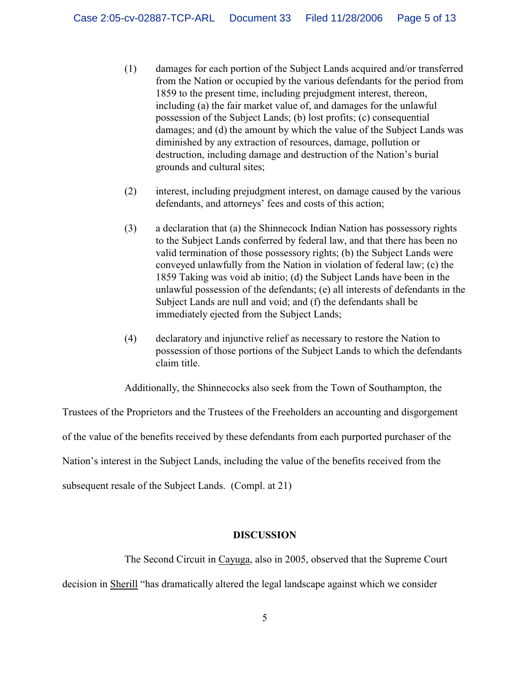- (1) damages for each portion of the Subject Lands acquired and/or transferred from the Nation or occupied by the various defendants for the period from 1859 to the present time, including prejudgment interest, thereon, including (a) the fair market value of, and damages for the unlawful possession of the Subject Lands; (b) lost profits; (c) consequential damages; and (d) the amount by which the value of the Subject Lands was diminished by any extraction of resources, damage, pollution or destruction, including damage and destruction of the Nation's burial grounds and cultural sites;
- (2) interest, including prejudgment interest, on damage caused by the various defendants, and attorneys' fees and costs of this action;
- (3) a declaration that (a) the Shinnecock Indian Nation has possessory rights to the Subject Lands conferred by federal law, and that there has been no valid termination of those possessory rights; (b) the Subject Lands were conveyed unlawfully from the Nation in violation of federal law; (c) the 1859 Taking was void ab initio; (d) the Subject Lands have been in the unlawful possession of the defendants; (e) all interests of defendants in the Subject Lands are null and void; and (f) the defendants shall be immediately ejected from the Subject Lands;
- (4) declaratory and injunctive relief as necessary to restore the Nation to possession of those portions of the Subject Lands to which the defendants claim title.

Additionally, the Shinnecocks also seek from the Town of Southampton, the

Trustees of the Proprietors and the Trustees of the Freeholders an accounting and disgorgement of the value of the benefits received by these defendants from each purported purchaser of the Nation's interest in the Subject Lands, including the value of the benefits received from the subsequent resale of the Subject Lands. (Compl. at 21)

### **DISCUSSION**

The Second Circuit in Cayuga, also in 2005, observed that the Supreme Court

decision in Sherill "has dramatically altered the legal landscape against which we consider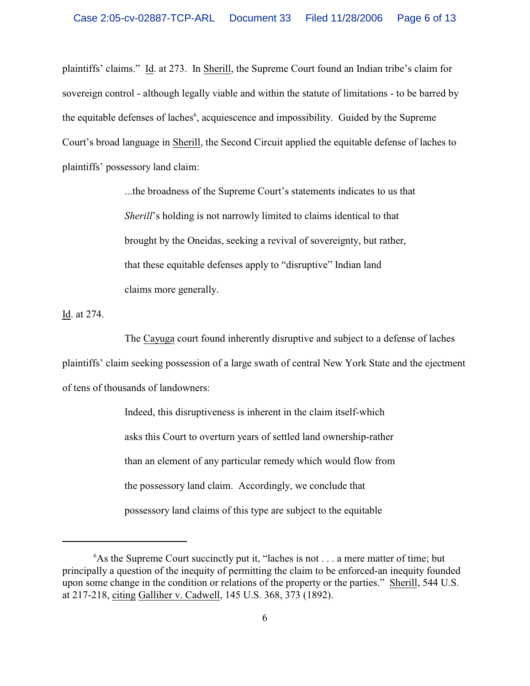plaintiffs' claims." Id. at 273. In Sherill, the Supreme Court found an Indian tribe's claim for sovereign control - although legally viable and within the statute of limitations - to be barred by the equitable defenses of laches $<sup>6</sup>$ , acquiescence and impossibility. Guided by the Supreme</sup> Court's broad language in Sherill, the Second Circuit applied the equitable defense of laches to plaintiffs' possessory land claim:

> ...the broadness of the Supreme Court's statements indicates to us that *Sherill*'s holding is not narrowly limited to claims identical to that brought by the Oneidas, seeking a revival of sovereignty, but rather, that these equitable defenses apply to "disruptive" Indian land claims more generally.

Id. at 274.

The Cayuga court found inherently disruptive and subject to a defense of laches plaintiffs' claim seeking possession of a large swath of central New York State and the ejectment of tens of thousands of landowners:

> Indeed, this disruptiveness is inherent in the claim itself-which asks this Court to overturn years of settled land ownership-rather than an element of any particular remedy which would flow from the possessory land claim. Accordingly, we conclude that possessory land claims of this type are subject to the equitable

 $6$ As the Supreme Court succinctly put it, "laches is not . . . a mere matter of time; but principally a question of the inequity of permitting the claim to be enforced-an inequity founded upon some change in the condition or relations of the property or the parties." Sherill, 544 U.S. at 217-218, citing Galliher v. Cadwell, 145 U.S. 368, 373 (1892).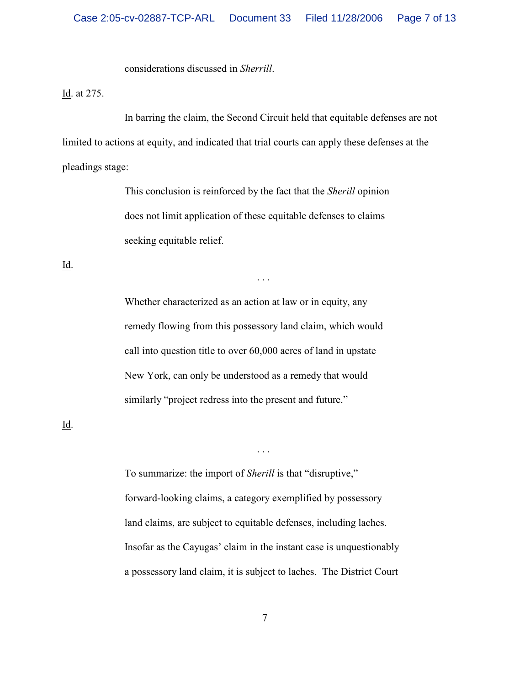considerations discussed in *Sherrill*.

Id. at 275.

In barring the claim, the Second Circuit held that equitable defenses are not limited to actions at equity, and indicated that trial courts can apply these defenses at the pleadings stage:

> This conclusion is reinforced by the fact that the *Sherill* opinion does not limit application of these equitable defenses to claims seeking equitable relief.

> > . . .

Id.

Whether characterized as an action at law or in equity, any remedy flowing from this possessory land claim, which would call into question title to over 60,000 acres of land in upstate New York, can only be understood as a remedy that would similarly "project redress into the present and future."

Id.

To summarize: the import of *Sherill* is that "disruptive," forward-looking claims, a category exemplified by possessory land claims, are subject to equitable defenses, including laches. Insofar as the Cayugas' claim in the instant case is unquestionably a possessory land claim, it is subject to laches. The District Court

. . .

7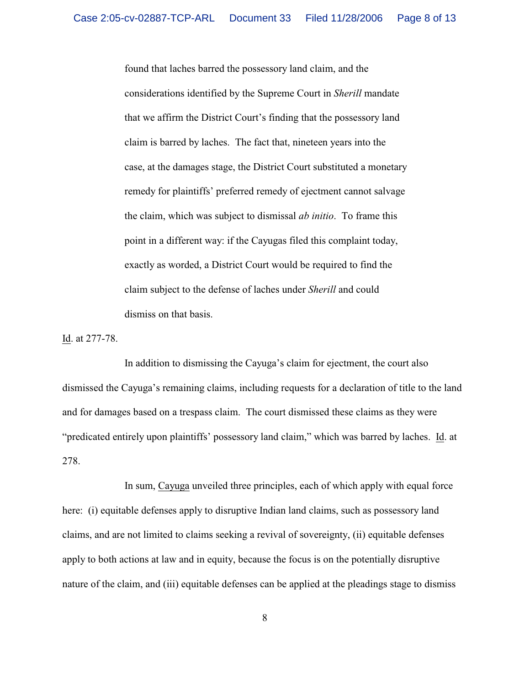found that laches barred the possessory land claim, and the considerations identified by the Supreme Court in *Sherill* mandate that we affirm the District Court's finding that the possessory land claim is barred by laches. The fact that, nineteen years into the case, at the damages stage, the District Court substituted a monetary remedy for plaintiffs' preferred remedy of ejectment cannot salvage the claim, which was subject to dismissal *ab initio*. To frame this point in a different way: if the Cayugas filed this complaint today, exactly as worded, a District Court would be required to find the claim subject to the defense of laches under *Sherill* and could dismiss on that basis.

Id. at 277-78.

In addition to dismissing the Cayuga's claim for ejectment, the court also dismissed the Cayuga's remaining claims, including requests for a declaration of title to the land and for damages based on a trespass claim. The court dismissed these claims as they were "predicated entirely upon plaintiffs' possessory land claim," which was barred by laches. Id. at 278.

In sum, Cayuga unveiled three principles, each of which apply with equal force here: (i) equitable defenses apply to disruptive Indian land claims, such as possessory land claims, and are not limited to claims seeking a revival of sovereignty, (ii) equitable defenses apply to both actions at law and in equity, because the focus is on the potentially disruptive nature of the claim, and (iii) equitable defenses can be applied at the pleadings stage to dismiss

8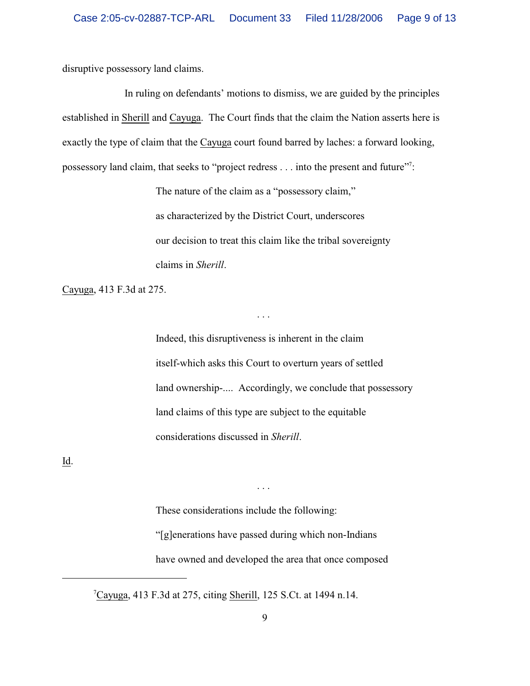disruptive possessory land claims.

In ruling on defendants' motions to dismiss, we are guided by the principles established in Sherill and Cayuga. The Court finds that the claim the Nation asserts here is exactly the type of claim that the Cayuga court found barred by laches: a forward looking, possessory land claim, that seeks to "project redress . . . into the present and future"?

> The nature of the claim as a "possessory claim," as characterized by the District Court, underscores our decision to treat this claim like the tribal sovereignty claims in *Sherill*.

> > . . .

Cayuga, 413 F.3d at 275.

Indeed, this disruptiveness is inherent in the claim itself-which asks this Court to overturn years of settled land ownership-.... Accordingly, we conclude that possessory land claims of this type are subject to the equitable considerations discussed in *Sherill*.

 $\underline{\mathop{\rm Id}\nolimits}$ .

These considerations include the following: "[g]enerations have passed during which non-Indians have owned and developed the area that once composed

. . .

 $\textdegree$ <sup>7</sup>Cayuga, 413 F.3d at 275, citing Sherill, 125 S.Ct. at 1494 n.14.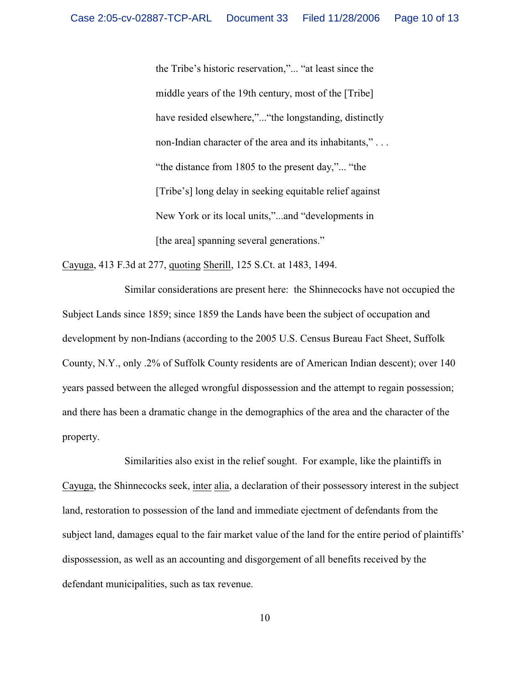the Tribe's historic reservation,"... "at least since the middle years of the 19th century, most of the [Tribe] have resided elsewhere,"..."the longstanding, distinctly non-Indian character of the area and its inhabitants," . . . "the distance from 1805 to the present day,"... "the [Tribe's] long delay in seeking equitable relief against New York or its local units,"...and "developments in [the area] spanning several generations."

Cayuga, 413 F.3d at 277, quoting Sherill, 125 S.Ct. at 1483, 1494.

Similar considerations are present here: the Shinnecocks have not occupied the Subject Lands since 1859; since 1859 the Lands have been the subject of occupation and development by non-Indians (according to the 2005 U.S. Census Bureau Fact Sheet, Suffolk County, N.Y., only .2% of Suffolk County residents are of American Indian descent); over 140 years passed between the alleged wrongful dispossession and the attempt to regain possession; and there has been a dramatic change in the demographics of the area and the character of the property.

Similarities also exist in the relief sought. For example, like the plaintiffs in Cayuga, the Shinnecocks seek, inter alia, a declaration of their possessory interest in the subject land, restoration to possession of the land and immediate ejectment of defendants from the subject land, damages equal to the fair market value of the land for the entire period of plaintiffs' dispossession, as well as an accounting and disgorgement of all benefits received by the defendant municipalities, such as tax revenue.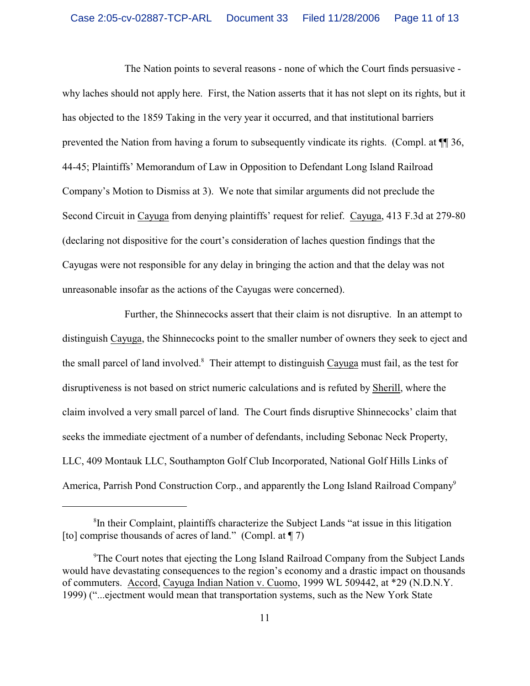The Nation points to several reasons - none of which the Court finds persuasive why laches should not apply here. First, the Nation asserts that it has not slept on its rights, but it has objected to the 1859 Taking in the very year it occurred, and that institutional barriers prevented the Nation from having a forum to subsequently vindicate its rights. (Compl. at ¶¶ 36, 44-45; Plaintiffs' Memorandum of Law in Opposition to Defendant Long Island Railroad Company's Motion to Dismiss at 3). We note that similar arguments did not preclude the Second Circuit in Cayuga from denying plaintiffs' request for relief. Cayuga, 413 F.3d at 279-80 (declaring not dispositive for the court's consideration of laches question findings that the Cayugas were not responsible for any delay in bringing the action and that the delay was not unreasonable insofar as the actions of the Cayugas were concerned).

Further, the Shinnecocks assert that their claim is not disruptive. In an attempt to distinguish Cayuga, the Shinnecocks point to the smaller number of owners they seek to eject and the small parcel of land involved.<sup>8</sup> Their attempt to distinguish Cayuga must fail, as the test for disruptiveness is not based on strict numeric calculations and is refuted by Sherill, where the claim involved a very small parcel of land. The Court finds disruptive Shinnecocks' claim that seeks the immediate ejectment of a number of defendants, including Sebonac Neck Property, LLC, 409 Montauk LLC, Southampton Golf Club Incorporated, National Golf Hills Links of America, Parrish Pond Construction Corp., and apparently the Long Island Railroad Company<sup>9</sup>

 ${}^{8}$ In their Complaint, plaintiffs characterize the Subject Lands "at issue in this litigation [to] comprise thousands of acres of land." (Compl. at  $\P$  7)

<sup>&</sup>lt;sup>9</sup>The Court notes that ejecting the Long Island Railroad Company from the Subject Lands would have devastating consequences to the region's economy and a drastic impact on thousands of commuters. Accord, Cayuga Indian Nation v. Cuomo, 1999 WL 509442, at \*29 (N.D.N.Y. 1999) ("...ejectment would mean that transportation systems, such as the New York State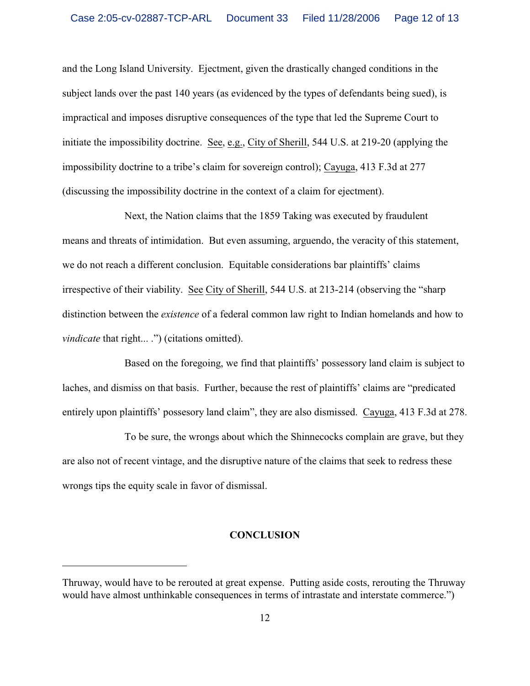and the Long Island University. Ejectment, given the drastically changed conditions in the subject lands over the past 140 years (as evidenced by the types of defendants being sued), is impractical and imposes disruptive consequences of the type that led the Supreme Court to initiate the impossibility doctrine. See, e.g., City of Sherill, 544 U.S. at 219-20 (applying the impossibility doctrine to a tribe's claim for sovereign control); Cayuga, 413 F.3d at 277 (discussing the impossibility doctrine in the context of a claim for ejectment).

Next, the Nation claims that the 1859 Taking was executed by fraudulent means and threats of intimidation. But even assuming, arguendo, the veracity of this statement, we do not reach a different conclusion. Equitable considerations bar plaintiffs' claims irrespective of their viability. See City of Sherill, 544 U.S. at 213-214 (observing the "sharp distinction between the *existence* of a federal common law right to Indian homelands and how to *vindicate* that right... .") (citations omitted).

Based on the foregoing, we find that plaintiffs' possessory land claim is subject to laches, and dismiss on that basis. Further, because the rest of plaintiffs' claims are "predicated entirely upon plaintiffs' possesory land claim", they are also dismissed. Cayuga, 413 F.3d at 278.

To be sure, the wrongs about which the Shinnecocks complain are grave, but they are also not of recent vintage, and the disruptive nature of the claims that seek to redress these wrongs tips the equity scale in favor of dismissal.

# **CONCLUSION**

Thruway, would have to be rerouted at great expense. Putting aside costs, rerouting the Thruway would have almost unthinkable consequences in terms of intrastate and interstate commerce.")